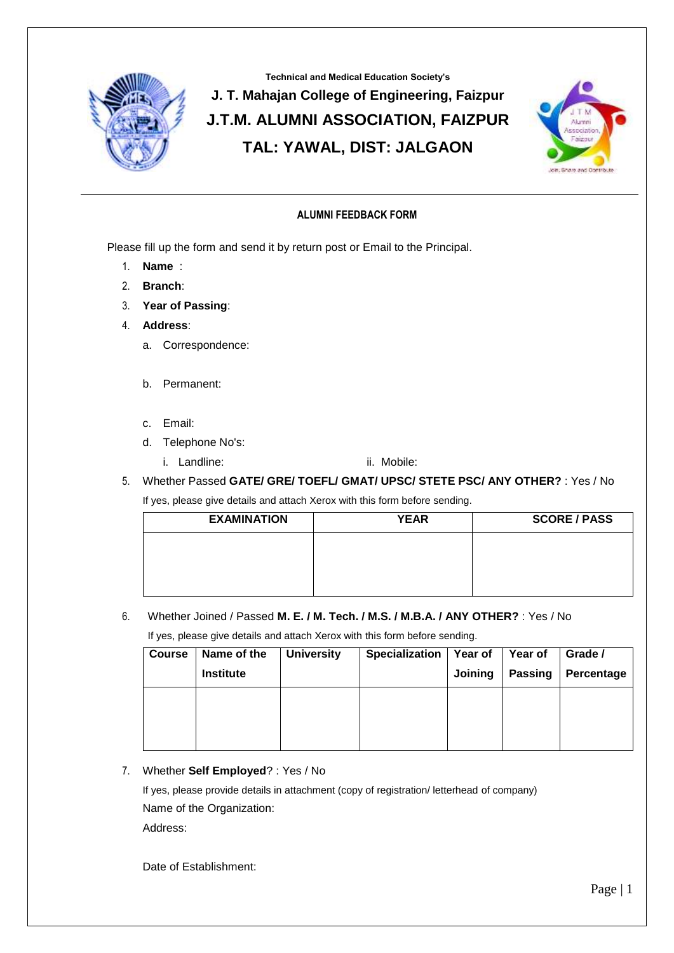

## **Technical and Medical Education Society's J. T. Mahajan College of Engineering, Faizpur J.T.M. ALUMNI ASSOCIATION, FAIZPUR TAL: YAWAL, DIST: JALGAON**



## **ALUMNI FEEDBACK FORM**

Please fill up the form and send it by return post or Email to the Principal.

- 1. **Name** :
- 2. **Branch**:
- 3. **Year of Passing**:
- 4. **Address**:
	- a. Correspondence:
	- b. Permanent:
	- c. Email:
	- d. Telephone No's:
		- i. Landline: ii. Mobile:
- 5. Whether Passed **GATE/ GRE/ TOEFL/ GMAT/ UPSC/ STETE PSC/ ANY OTHER?** : Yes / No

If yes, please give details and attach Xerox with this form before sending.

| <b>EXAMINATION</b> | <b>YEAR</b> | <b>SCORE / PASS</b> |  |  |
|--------------------|-------------|---------------------|--|--|
|                    |             |                     |  |  |
|                    |             |                     |  |  |
|                    |             |                     |  |  |

6. Whether Joined / Passed **M. E. / M. Tech. / M.S. / M.B.A. / ANY OTHER?** : Yes / No

If yes, please give details and attach Xerox with this form before sending.

| <b>Course</b> | Name of the      | <b>University</b> | <b>Specialization</b> | Year of | Year of        | Grade /    |
|---------------|------------------|-------------------|-----------------------|---------|----------------|------------|
|               | <b>Institute</b> |                   |                       | Joining | <b>Passing</b> | Percentage |
|               |                  |                   |                       |         |                |            |
|               |                  |                   |                       |         |                |            |
|               |                  |                   |                       |         |                |            |

## 7. Whether **Self Employed**? : Yes / No

If yes, please provide details in attachment (copy of registration/ letterhead of company) Name of the Organization:

Address:

Date of Establishment: